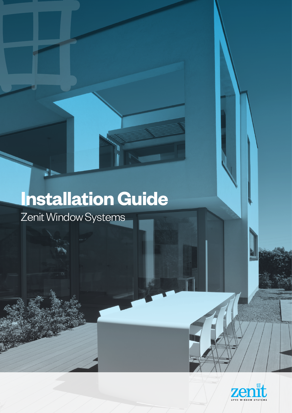# **Installation Guide** Zenit Window Systems

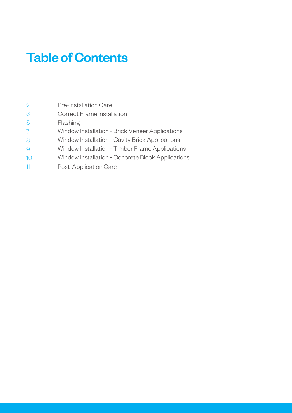## Table of Contents

| $\overline{2}$ | <b>Pre-Installation Care</b>                      |
|----------------|---------------------------------------------------|
| 3              | Correct Frame Installation                        |
| 5              | Flashing                                          |
|                | Window Installation - Brick Veneer Applications   |
| 8              | Window Installation - Cavity Brick Applications   |
|                | Window Installation - Timber Frame Applications   |
| 10             | Window Installation - Concrete Block Applications |
|                | Post-Application Care                             |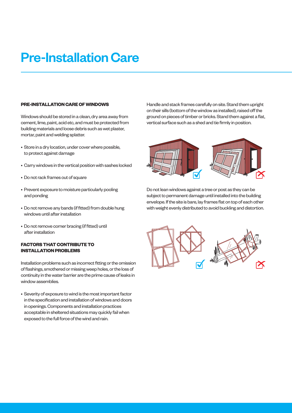### Pre-Installation Care

### **PRE-INSTALLATION CARE OF WINDOWS**

Windows should be stored in a clean, dry area away from cement, lime, paint, acid etc, and must be protected from building materials and loose debris such as wet plaster, mortar, paint and welding splatter.

- Store in a dry location, under cover where possible, to protect against damage
- Carry windows in the vertical position with sashes locked
- Do not rack frames out of square
- Prevent exposure to moisture particularly pooling and ponding
- Do not remove any bands (if fitted) from double hung windows until after installation
- Do not remove corner bracing (if fitted) until after installation

### **FACTORS THAT CONTRIBUTE TO INSTALLATION PROBLEMS**

Installation problems such as incorrect fitting or the omission of flashings, smothered or missing weep holes, or the loss of continuity in the water barrier are the prime cause of leaks in window assemblies.

• Severity of exposure to wind is the most important factor in the specification and installation of windows and doors in openings. Components and installation practices acceptable in sheltered situations may quickly fail when exposed to the full force of the wind and rain.

Handle and stack frames carefully on site. Stand them upright on their sills (bottom of the window as installed), raised off the ground on pieces of timber or bricks. Stand them against a flat, vertical surface such as a shed and tie firmly in position.



Do not lean windows against a tree or post as they can be subject to permanent damage until installed into the building envelope. If the site is bare, lay frames flat on top of each other with weight evenly distributed to avoid buckling and distortion.



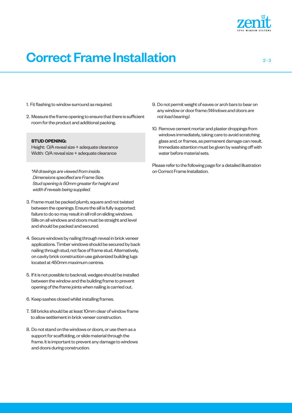

### **Correct Frame Installation** 2-3

- 1. Fit flashing to window surround as required.
- 2. Measure the frame opening to ensure that there is sufficient room for the product and additional packing.

#### **STUD OPENING:**

Height: O/A reveal size + adequate clearance Width: O/A reveal size + adequate clearance

*\*All drawings are viewed from inside. Dimensions specified are Frame Size. Stud opening is 50mm greater for height and width if reveals being supplied.*

- 3. Frame must be packed plumb, square and not twisted between the openings. Ensure the sill is fully supported; failure to do so may result in sill roll on sliding windows. Sills on all windows and doors must be straight and level and should be packed and secured.
- 4. Secure windows by nailing through reveal in brick veneer applications. Timber windows should be secured by back nailing through stud, not face of frame stud. Alternatively, on cavity brick construction use galvanized building lugs located at 450mm maximum centres.
- 5. If it is not possible to backnail, wedges should be installed between the window and the building frame to prevent opening of the frame joints when nailing is carried out.
- 6. Keep sashes closed whilst installing frames.
- 7. Sill bricks should be at least 10mm clear of window frame to allow settlement in brick veneer construction.
- 8. Do not stand on the windows or doors, or use them as a support for scaffolding, or slide material through the frame. It is important to prevent any damage to windows and doors during construction.
- 9. Do not permit weight of eaves or arch bars to bear on any window or door frame *(Windows and doors are not load bearing)*.
- 10. Remove cement mortar and plaster droppings from windows immediately, taking care to avoid scratching glass and, or frames, as permanent damage can result. Immediate attention must be given by washing off with water before material sets.

Please refer to the following page for a detailed illustration on Correct Frame Installation.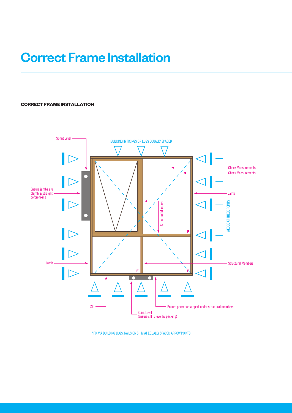### Correct Frame Installation

### **CORRECT FRAME INSTALLATION**



\*FIX VIA BUILDING LUGS, NAILS OR SHIM AT EQUALLY SPACED ARROW POINTS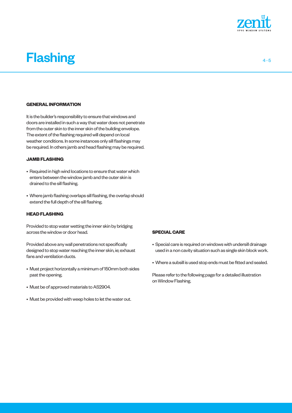

### Flashing **Flashing**  $4 - 5$

#### **GENERAL INFORMATION**

It is the builder's responsibility to ensure that windows and doors are installed in such a way that water does not penetrate from the outer skin to the inner skin of the building envelope. The extent of the flashing required will depend on local weather conditions. In some instances only sill flashings may be required. In others jamb and head flashing may be required.

### **JAMB FLASHING**

- Required in high wind locations to ensure that water which enters between the window jamb and the outer skin is drained to the sill flashing.
- Where jamb flashing overlaps sill flashing, the overlap should extend the full depth of the sill flashing.

#### **HEAD FLASHING**

Provided to stop water wetting the inner skin by bridging across the window or door head.

Provided above any wall penetrations not specifically designed to stop water reaching the inner skin, ie; exhaust fans and ventilation ducts.

- Must project horizontally a minimum of 150mm both sides past the opening.
- Must be of approved materials to AS2904.
- Must be provided with weep holes to let the water out.

#### **SPECIAL CARE**

- Special care is required on windows with undersill drainage used in a non cavity situation such as single skin block work.
- Where a subsill is used stop ends must be fitted and sealed.

Please refer to the following page for a detailed illustration on Window Flashing.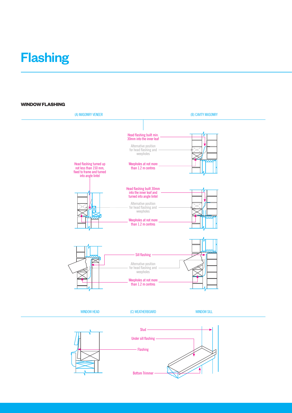### **Flashing**

### **WINDOW FLASHING**

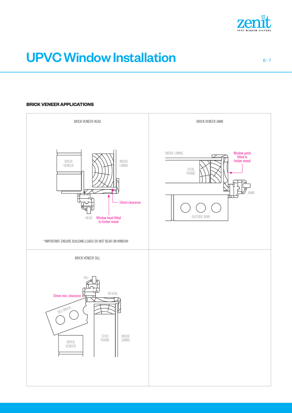

## UPVC Window Installation **EXAMPLE CONVENTS** 6-7

### **BRICK VENEER APPLICATIONS**

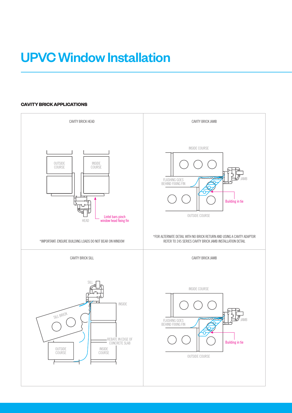### UPVC Window Installation

### **CAVITY BRICK APPLICATIONS**

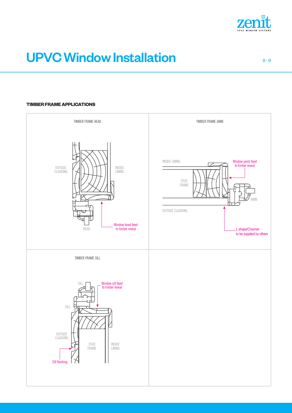

## UPVC Window Installation 8-9

### **TIMBER FRAME APPLICATIONS**

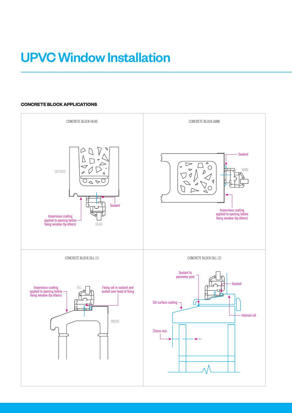## UPVC Window Installation

### **CONCRETE BLOCK APPLICATIONS**

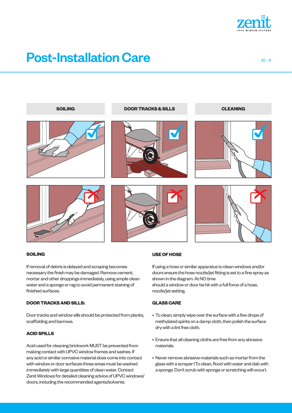

### **Post-Installation Care 10 - 112 - 112 - 112 - 112 - 112 - 112 - 112 - 112 - 112 - 112 - 112 - 112 - 112 - 112 - 112 - 112 - 112 - 112 - 112 - 112 - 112 - 112 - 112 - 112 - 112 - 112 - 112 - 112 - 112 - 112 - 112 - 112 - 1**



#### **SOILING**

If removal of debris is delayed and scraping becomes necessary the finish may be damaged. Remove cement, mortar and other droppings immediately, using ample clean water and a sponge or rag to avoid permanent staining of finished surfaces.

### **DOOR TRACKS AND SILLS:**

Door tracks and window sills should be protected from planks, scaffolding and barrows.

#### **ACID SPILLS**

Acid used for cleaning brickwork MUST be prevented from making contact with UPVC window frames and sashes. If any acid or similar corrosive material does come into contact with window or door surfaces those areas must be washed *immediately* with large quantities of clean water. Contact Zenit Windows for detailed cleaning advice of UPVC windows/ doors, including the recommended agents/solvents.

#### **USE OF HOSE**

If using a hose or similar apparatus to clean windows and/or doors ensure the hose nozzle/jet fitting is set to a fine spray as shown in the diagram. At NO time should a window or door be hit with a full force of a hose, nozzle/jet setting.

#### **GLASS CARE**

- To clean, simply wipe over the surface with a few drops of methylated spirits on a damp cloth, then polish the surface dry with a lint free cloth.
- Ensure that all cleaning cloths are free from any abrasive materials.
- Never remove abrasive materials such as mortar from the glass with a scraper (To clean, flood with water and dab with a sponge. Don't scrub with sponge or scratching will occur).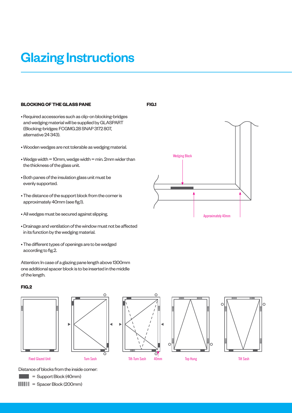### Glazing Instructions

#### **BLOCKING OF THE GLASS PANE**

- Required accessories such as clip-on blocking-bridges and wedging material will be supplied by GLASPART (Blocking-bridges: FCGMG.28 SNAP 3172 807, alternative 24 343).
- Wooden wedges are not tolerable as wedging material.
- $\bullet$  Wedge width = 10mm, wedge width = min. 2mm wider than the thickness of the glass unit.
- Both panes of the insulation glass unit must be evenly supported.
- The distance of the support block from the corner is approximately 40mm (see fig.1).
- All wedges must be secured against slipping.
- Drainage and ventilation of the window must not be affected in its function by the wedging material.
- The different types of openings are to be wedged according to fig.2.

Attention: In case of a glazing pane length above 1300mm one additional spacer block is to be inserted in the middle of the length.

### **FIG.2**









Fixed Glazed Unit

Distance of blocks from the inside corner:

= Support Block (40mm)

 $11111 =$  Spacer Block (200mm)

**FIG.1**